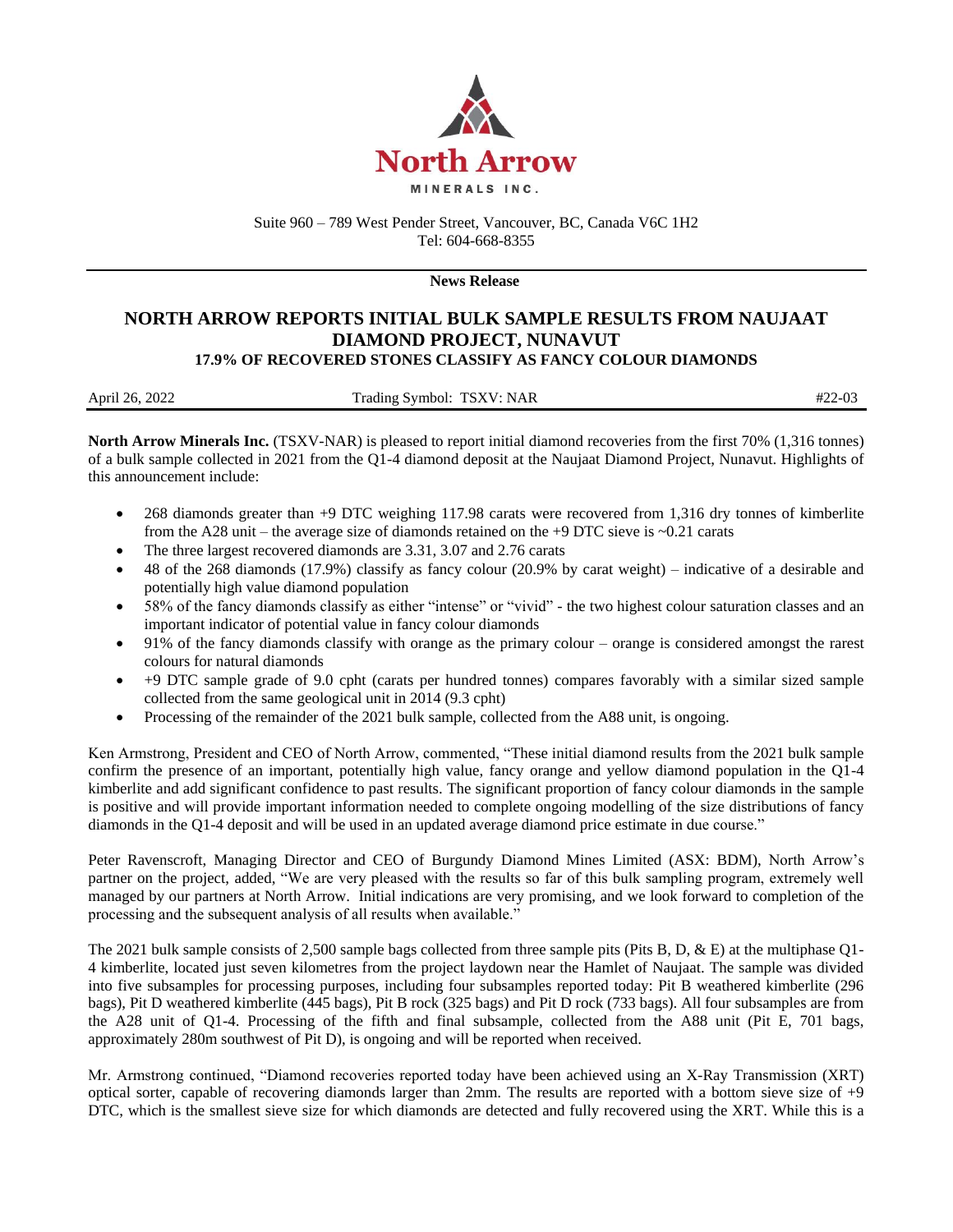

Suite 960 – 789 West Pender Street, Vancouver, BC, Canada V6C 1H2 Tel: 604-668-8355

**News Release**

## **NORTH ARROW REPORTS INITIAL BULK SAMPLE RESULTS FROM NAUJAAT DIAMOND PROJECT, NUNAVUT 17.9% OF RECOVERED STONES CLASSIFY AS FANCY COLOUR DIAMONDS**

| April 26, 2022 | Trading Symbol: TSXV: NAR | $#22-03$ |
|----------------|---------------------------|----------|

**North Arrow Minerals Inc.** (TSXV-NAR) is pleased to report initial diamond recoveries from the first 70% (1,316 tonnes) of a bulk sample collected in 2021 from the Q1-4 diamond deposit at the Naujaat Diamond Project, Nunavut. Highlights of this announcement include:

- 268 diamonds greater than +9 DTC weighing 117.98 carats were recovered from 1,316 dry tonnes of kimberlite from the A28 unit – the average size of diamonds retained on the +9 DTC sieve is ~0.21 carats
- The three largest recovered diamonds are 3.31, 3.07 and 2.76 carats
- 48 of the 268 diamonds (17.9%) classify as fancy colour (20.9% by carat weight) indicative of a desirable and potentially high value diamond population
- 58% of the fancy diamonds classify as either "intense" or "vivid" the two highest colour saturation classes and an important indicator of potential value in fancy colour diamonds
- 91% of the fancy diamonds classify with orange as the primary colour orange is considered amongst the rarest colours for natural diamonds
- +9 DTC sample grade of 9.0 cpht (carats per hundred tonnes) compares favorably with a similar sized sample collected from the same geological unit in 2014 (9.3 cpht)
- Processing of the remainder of the 2021 bulk sample, collected from the A88 unit, is ongoing.

Ken Armstrong, President and CEO of North Arrow, commented, "These initial diamond results from the 2021 bulk sample confirm the presence of an important, potentially high value, fancy orange and yellow diamond population in the Q1-4 kimberlite and add significant confidence to past results. The significant proportion of fancy colour diamonds in the sample is positive and will provide important information needed to complete ongoing modelling of the size distributions of fancy diamonds in the Q1-4 deposit and will be used in an updated average diamond price estimate in due course."

Peter Ravenscroft, Managing Director and CEO of Burgundy Diamond Mines Limited (ASX: BDM), North Arrow's partner on the project, added, "We are very pleased with the results so far of this bulk sampling program, extremely well managed by our partners at North Arrow. Initial indications are very promising, and we look forward to completion of the processing and the subsequent analysis of all results when available."

The 2021 bulk sample consists of 2,500 sample bags collected from three sample pits (Pits B, D, & E) at the multiphase Q1- 4 kimberlite, located just seven kilometres from the project laydown near the Hamlet of Naujaat. The sample was divided into five subsamples for processing purposes, including four subsamples reported today: Pit B weathered kimberlite (296 bags), Pit D weathered kimberlite (445 bags), Pit B rock (325 bags) and Pit D rock (733 bags). All four subsamples are from the A28 unit of Q1-4. Processing of the fifth and final subsample, collected from the A88 unit (Pit E, 701 bags, approximately 280m southwest of Pit D), is ongoing and will be reported when received.

Mr. Armstrong continued, "Diamond recoveries reported today have been achieved using an X-Ray Transmission (XRT) optical sorter, capable of recovering diamonds larger than 2mm. The results are reported with a bottom sieve size of +9 DTC, which is the smallest sieve size for which diamonds are detected and fully recovered using the XRT. While this is a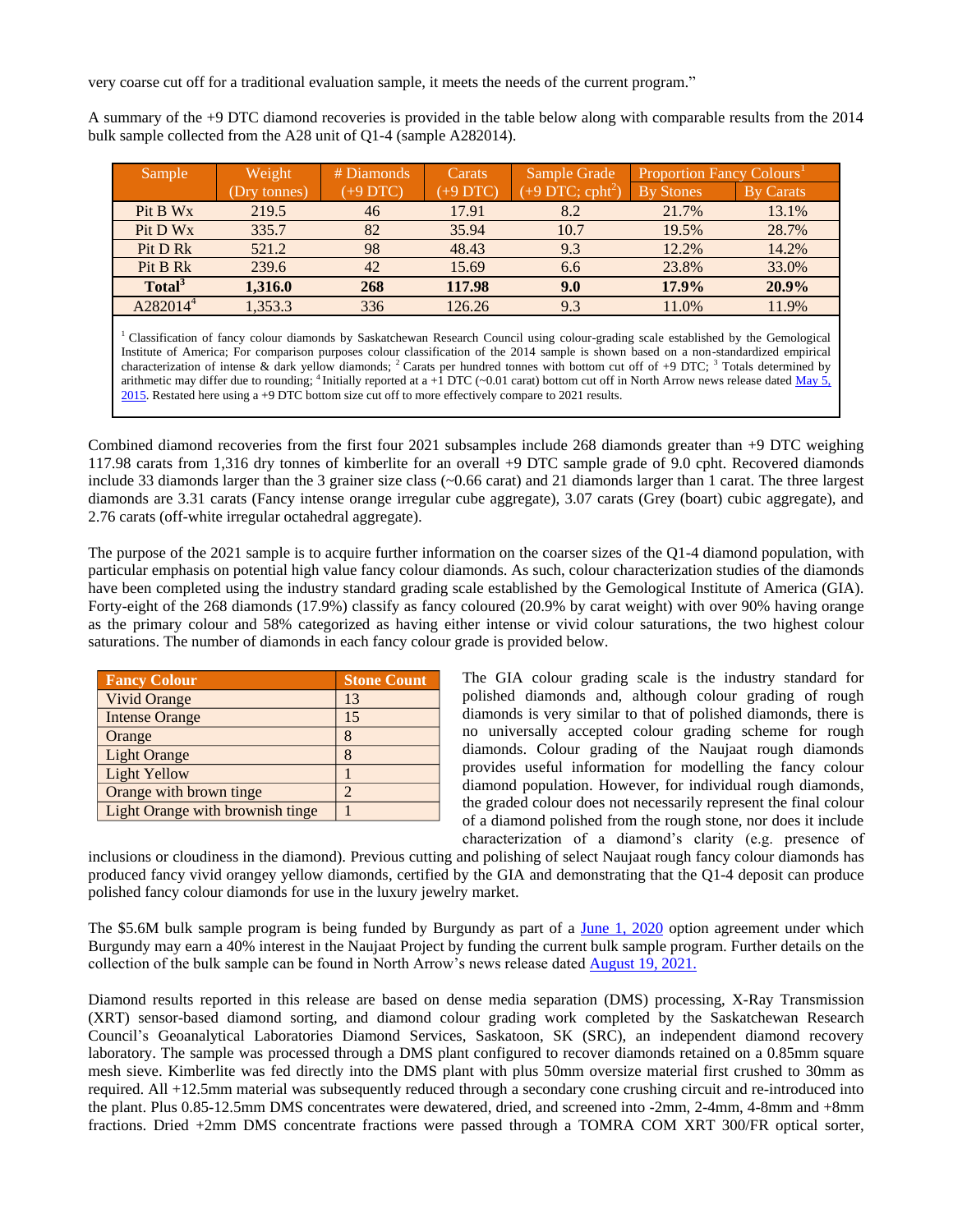very coarse cut off for a traditional evaluation sample, it meets the needs of the current program."

A summary of the +9 DTC diamond recoveries is provided in the table below along with comparable results from the 2014 bulk sample collected from the A28 unit of Q1-4 (sample A282014).

| Sample               | Weight       | # Diamonds | Carats   | Sample Grade                   | <b>Proportion Fancy Colours'</b> |                  |
|----------------------|--------------|------------|----------|--------------------------------|----------------------------------|------------------|
|                      | (Dry tonnes) | (+9 DTC)   | (+9 DTC) | $(+9$ DTC; cpht <sup>2</sup> ) | <b>By Stones</b>                 | <b>By Carats</b> |
| Pit B Wx             | 219.5        | 46         | 17.91    | 8.2                            | 21.7%                            | 13.1%            |
| Pit D Wx             | 335.7        | 82         | 35.94    | 10.7                           | 19.5%                            | 28.7%            |
| Pit D Rk             | 521.2        | 98         | 48.43    | 9.3                            | 12.2%                            | 14.2%            |
| Pit B Rk             | 239.6        | 42         | 15.69    | 6.6                            | 23.8%                            | 33.0%            |
| Total <sup>3</sup>   | 1,316.0      | 268        | 117.98   | 9.0                            | 17.9%                            | $20.9\%$         |
| A282014 <sup>4</sup> | 1,353.3      | 336        | 126.26   | 9.3                            | 11.0%                            | 11.9%            |
|                      |              |            |          |                                |                                  |                  |

<sup>1</sup> Classification of fancy colour diamonds by Saskatchewan Research Council using colour-grading scale established by the Gemological Institute of America; For comparison purposes colour classification of the 2014 sample is shown based on a non-standardized empirical characterization of intense & dark yellow diamonds; <sup>2</sup> Carats per hundred tonnes with bottom cut off of +9 DTC; <sup>3</sup> Totals determined by arithmetic may differ due to rounding; <sup>4</sup> Initially reported at a +1 DTC (~0.01 carat) bottom cut off in North Arrow news release dated <u>May 5</u>, [2015.](http://www.northarrowminerals.com/news/press_releases/index.php?content_id=178) Restated here using a +9 DTC bottom size cut off to more effectively compare to 2021 results.

Combined diamond recoveries from the first four 2021 subsamples include 268 diamonds greater than +9 DTC weighing 117.98 carats from 1,316 dry tonnes of kimberlite for an overall +9 DTC sample grade of 9.0 cpht. Recovered diamonds include 33 diamonds larger than the 3 grainer size class (~0.66 carat) and 21 diamonds larger than 1 carat. The three largest diamonds are 3.31 carats (Fancy intense orange irregular cube aggregate), 3.07 carats (Grey (boart) cubic aggregate), and 2.76 carats (off-white irregular octahedral aggregate).

The purpose of the 2021 sample is to acquire further information on the coarser sizes of the Q1-4 diamond population, with particular emphasis on potential high value fancy colour diamonds. As such, colour characterization studies of the diamonds have been completed using the industry standard grading scale established by the Gemological Institute of America (GIA). Forty-eight of the 268 diamonds (17.9%) classify as fancy coloured (20.9% by carat weight) with over 90% having orange as the primary colour and 58% categorized as having either intense or vivid colour saturations, the two highest colour saturations. The number of diamonds in each fancy colour grade is provided below.

| <b>Fancy Colour</b>              | <b>Stone Count</b> |
|----------------------------------|--------------------|
| <b>Vivid Orange</b>              | 13                 |
| <b>Intense Orange</b>            | 15                 |
| Orange                           | 8                  |
| <b>Light Orange</b>              | 8                  |
| <b>Light Yellow</b>              |                    |
| Orange with brown tinge          | 2                  |
| Light Orange with brownish tinge |                    |

The GIA colour grading scale is the industry standard for polished diamonds and, although colour grading of rough diamonds is very similar to that of polished diamonds, there is no universally accepted colour grading scheme for rough diamonds. Colour grading of the Naujaat rough diamonds provides useful information for modelling the fancy colour diamond population. However, for individual rough diamonds, the graded colour does not necessarily represent the final colour of a diamond polished from the rough stone, nor does it include characterization of a diamond's clarity (e.g. presence of

inclusions or cloudiness in the diamond). Previous cutting and polishing of select Naujaat rough fancy colour diamonds has produced fancy vivid orangey yellow diamonds, certified by the GIA and demonstrating that the Q1-4 deposit can produce polished fancy colour diamonds for use in the luxury jewelry market.

The \$5.6M bulk sample program is being funded by Burgundy as part of a <u>June 1, 2020</u> option agreement under which Burgundy may earn a 40% interest in the Naujaat Project by funding the current bulk sample program. Further details on the collection of the bulk sample can be found in North Arrow's news release dated [August 19, 2021.](http://www.northarrowminerals.com/news/press_releases/index.php?content_id=268)

Diamond results reported in this release are based on dense media separation (DMS) processing, X-Ray Transmission (XRT) sensor-based diamond sorting, and diamond colour grading work completed by the Saskatchewan Research Council's Geoanalytical Laboratories Diamond Services, Saskatoon, SK (SRC), an independent diamond recovery laboratory. The sample was processed through a DMS plant configured to recover diamonds retained on a 0.85mm square mesh sieve. Kimberlite was fed directly into the DMS plant with plus 50mm oversize material first crushed to 30mm as required. All +12.5mm material was subsequently reduced through a secondary cone crushing circuit and re-introduced into the plant. Plus 0.85-12.5mm DMS concentrates were dewatered, dried, and screened into -2mm, 2-4mm, 4-8mm and +8mm fractions. Dried +2mm DMS concentrate fractions were passed through a TOMRA COM XRT 300/FR optical sorter,